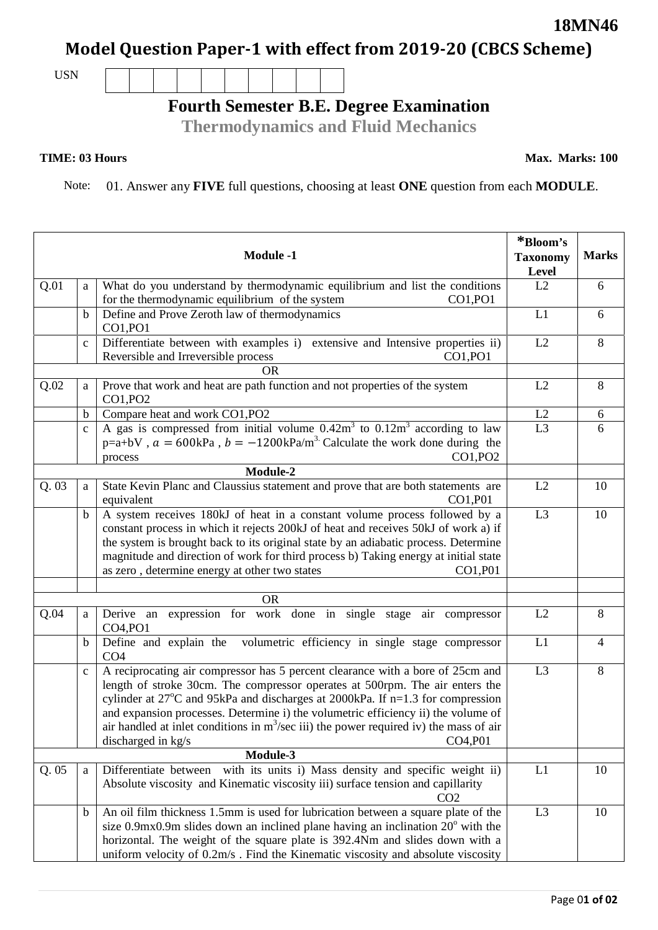## **Model Question Paper-1 with effect from 2019-20 (CBCS Scheme)**

USN

## **Fourth Semester B.E. Degree Examination**

**Thermodynamics and Fluid Mechanics**

## **TIME: 03 Hours**

Note: 01. Answer any **FIVE** full questions, choosing at least **ONE** question from each **MODULE**.

|      |              | <b>Module -1</b>                                                                                                                                                                                                                                                                                                                                                                                                                                                     | *Bloom's<br><b>Taxonomy</b><br>Level | <b>Marks</b>   |
|------|--------------|----------------------------------------------------------------------------------------------------------------------------------------------------------------------------------------------------------------------------------------------------------------------------------------------------------------------------------------------------------------------------------------------------------------------------------------------------------------------|--------------------------------------|----------------|
| Q.01 | a            | What do you understand by thermodynamic equilibrium and list the conditions<br>for the thermodynamic equilibrium of the system<br>CO1, PO1                                                                                                                                                                                                                                                                                                                           | L2                                   | 6              |
|      | $\mathbf b$  | Define and Prove Zeroth law of thermodynamics<br>CO1,PO1                                                                                                                                                                                                                                                                                                                                                                                                             | L1                                   | 6              |
|      | $\mathbf{C}$ | Differentiate between with examples i) extensive and Intensive properties ii)<br>Reversible and Irreversible process<br>CO1, PO1                                                                                                                                                                                                                                                                                                                                     | L2                                   | 8              |
|      |              | <b>OR</b>                                                                                                                                                                                                                                                                                                                                                                                                                                                            |                                      |                |
| Q.02 | a            | Prove that work and heat are path function and not properties of the system<br>CO1, PO2                                                                                                                                                                                                                                                                                                                                                                              | L2                                   | 8              |
|      | b            | Compare heat and work CO1, PO2                                                                                                                                                                                                                                                                                                                                                                                                                                       | L2                                   | 6              |
|      | $\mathbf{C}$ | A gas is compressed from initial volume $0.42m3$ to $0.12m3$ according to law<br>$p=a+bV$ , $a = 600kPa$ , $b = -1200kPa/m3$ . Calculate the work done during the<br>CO1, PO2<br>process                                                                                                                                                                                                                                                                             | L <sub>3</sub>                       | 6              |
|      |              | Module-2                                                                                                                                                                                                                                                                                                                                                                                                                                                             |                                      |                |
| Q.03 | a            | State Kevin Planc and Claussius statement and prove that are both statements are<br>CO1, P01<br>equivalent                                                                                                                                                                                                                                                                                                                                                           | L2                                   | 10             |
|      | $\mathbf b$  | A system receives 180kJ of heat in a constant volume process followed by a<br>constant process in which it rejects 200kJ of heat and receives 50kJ of work a) if<br>the system is brought back to its original state by an adiabatic process. Determine<br>magnitude and direction of work for third process b) Taking energy at initial state<br>as zero, determine energy at other two states<br>CO1, P01                                                          | L3                                   | 10             |
|      |              | <b>OR</b>                                                                                                                                                                                                                                                                                                                                                                                                                                                            |                                      |                |
| Q.04 | a            | Derive an expression for work done in single stage air compressor<br>CO4, PO1                                                                                                                                                                                                                                                                                                                                                                                        | L2                                   | 8              |
|      | $\mathbf b$  | Define and explain the volumetric efficiency in single stage compressor<br>CO <sub>4</sub>                                                                                                                                                                                                                                                                                                                                                                           | L1                                   | $\overline{4}$ |
|      | $\mathbf{C}$ | A reciprocating air compressor has 5 percent clearance with a bore of 25cm and<br>length of stroke 30cm. The compressor operates at 500rpm. The air enters the<br>cylinder at 27°C and 95kPa and discharges at 2000kPa. If n=1.3 for compression<br>and expansion processes. Determine i) the volumetric efficiency ii) the volume of<br>air handled at inlet conditions in $m^3$ /sec iii) the power required iv) the mass of air<br>discharged in kg/s<br>CO4, P01 | L <sub>3</sub>                       | 8              |
|      |              | Module-3                                                                                                                                                                                                                                                                                                                                                                                                                                                             |                                      |                |
| Q.05 | a            | Differentiate between with its units i) Mass density and specific weight ii)<br>Absolute viscosity and Kinematic viscosity iii) surface tension and capillarity<br>CO <sub>2</sub>                                                                                                                                                                                                                                                                                   | L1                                   | 10             |
|      | $\mathbf b$  | An oil film thickness 1.5mm is used for lubrication between a square plate of the<br>size $0.9$ mx $0.9$ m slides down an inclined plane having an inclination $20^{\circ}$ with the<br>horizontal. The weight of the square plate is 392.4Nm and slides down with a<br>uniform velocity of 0.2m/s. Find the Kinematic viscosity and absolute viscosity                                                                                                              | L <sub>3</sub>                       | 10             |



**Max. Marks: 100**

**18MN46**